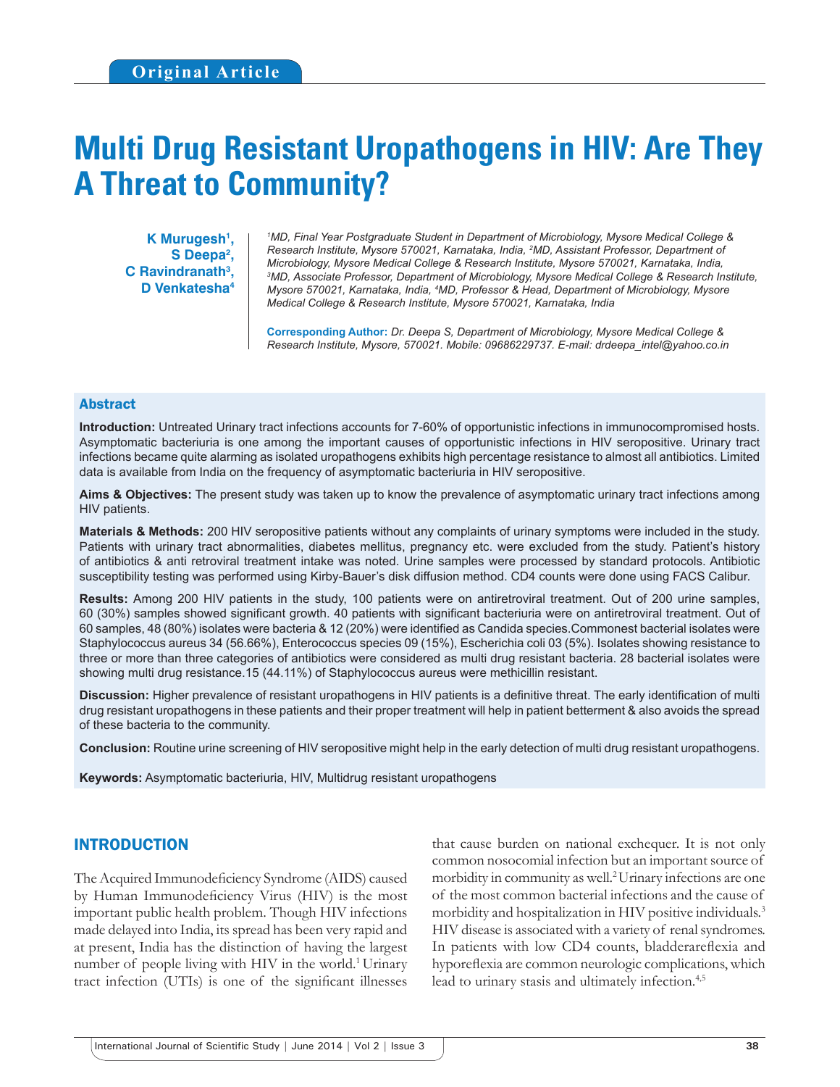# **Multi Drug Resistant Uropathogens in HIV: Are They A Threat to Community?**

**K Murugesh1 , S Deepa2 , C Ravindranath3 , D Venkatesha4**

*1 MD, Final Year Postgraduate Student in Department of Microbiology, Mysore Medical College & Research Institute, Mysore 570021, Karnataka, India, 2 MD, Assistant Professor, Department of Microbiology, Mysore Medical College & Research Institute, Mysore 570021, Karnataka, India, 3 MD, Associate Professor, Department of Microbiology, Mysore Medical College & Research Institute, Mysore 570021, Karnataka, India, 4 MD, Professor & Head, Department of Microbiology, Mysore Medical College & Research Institute, Mysore 570021, Karnataka, India*

**Corresponding Author:** *Dr. Deepa S, Department of Microbiology, Mysore Medical College & Research Institute, Mysore, 570021. Mobile: 09686229737. E-mail: drdeepa\_intel@yahoo.co.in*

#### Abstract

**Introduction:** Untreated Urinary tract infections accounts for 7-60% of opportunistic infections in immunocompromised hosts. Asymptomatic bacteriuria is one among the important causes of opportunistic infections in HIV seropositive. Urinary tract infections became quite alarming as isolated uropathogens exhibits high percentage resistance to almost all antibiotics. Limited data is available from India on the frequency of asymptomatic bacteriuria in HIV seropositive.

**Aims & Objectives:** The present study was taken up to know the prevalence of asymptomatic urinary tract infections among HIV patients.

**Materials & Methods:** 200 HIV seropositive patients without any complaints of urinary symptoms were included in the study. Patients with urinary tract abnormalities, diabetes mellitus, pregnancy etc. were excluded from the study. Patient's history of antibiotics & anti retroviral treatment intake was noted. Urine samples were processed by standard protocols. Antibiotic susceptibility testing was performed using Kirby-Bauer's disk diffusion method. CD4 counts were done using FACS Calibur.

**Results:** Among 200 HIV patients in the study, 100 patients were on antiretroviral treatment. Out of 200 urine samples, 60 (30%) samples showed significant growth. 40 patients with significant bacteriuria were on antiretroviral treatment. Out of 60 samples, 48 (80%) isolates were bacteria & 12 (20%) were identified as Candida species.Commonest bacterial isolates were Staphylococcus aureus 34 (56.66%), Enterococcus species 09 (15%), Escherichia coli 03 (5%). Isolates showing resistance to three or more than three categories of antibiotics were considered as multi drug resistant bacteria. 28 bacterial isolates were showing multi drug resistance.15 (44.11%) of Staphylococcus aureus were methicillin resistant.

**Discussion:** Higher prevalence of resistant uropathogens in HIV patients is a definitive threat. The early identification of multi drug resistant uropathogens in these patients and their proper treatment will help in patient betterment & also avoids the spread of these bacteria to the community.

**Conclusion:** Routine urine screening of HIV seropositive might help in the early detection of multi drug resistant uropathogens.

**Keywords:** Asymptomatic bacteriuria, HIV, Multidrug resistant uropathogens

#### INTRODUCTION

The Acquired Immunodeficiency Syndrome (AIDS) caused by Human Immunodeficiency Virus (HIV) is the most important public health problem. Though HIV infections made delayed into India, its spread has been very rapid and at present, India has the distinction of having the largest number of people living with HIV in the world.<sup>1</sup> Urinary tract infection (UTIs) is one of the significant illnesses

that cause burden on national exchequer. It is not only common nosocomial infection but an important source of morbidity in community as well.2 Urinary infections are one of the most common bacterial infections and the cause of morbidity and hospitalization in HIV positive individuals.3 HIV disease is associated with a variety of renal syndromes. In patients with low CD4 counts, bladderareflexia and hyporeflexia are common neurologic complications, which lead to urinary stasis and ultimately infection.<sup>4,5</sup>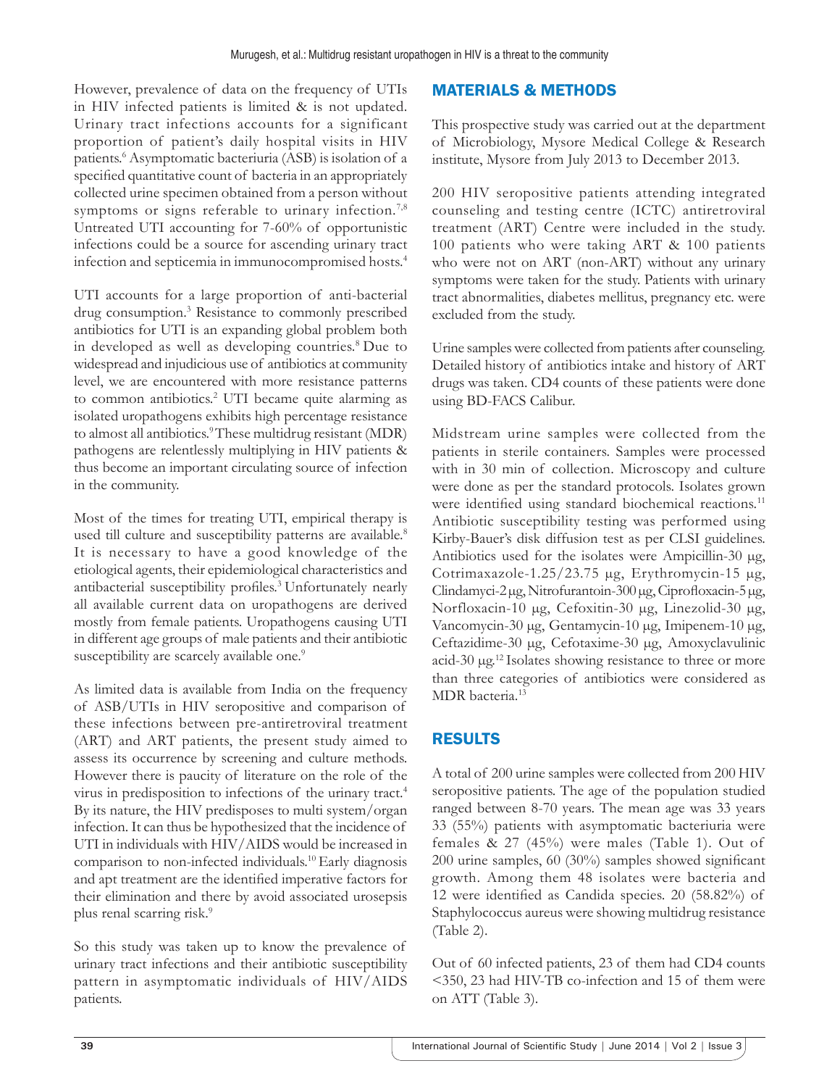However, prevalence of data on the frequency of UTIs in HIV infected patients is limited & is not updated. Urinary tract infections accounts for a significant proportion of patient's daily hospital visits in HIV patients.<sup>6</sup> Asymptomatic bacteriuria (ASB) is isolation of a specified quantitative count of bacteria in an appropriately collected urine specimen obtained from a person without symptoms or signs referable to urinary infection.<sup>7,8</sup> Untreated UTI accounting for 7-60% of opportunistic infections could be a source for ascending urinary tract infection and septicemia in immunocompromised hosts.4

UTI accounts for a large proportion of anti-bacterial drug consumption.<sup>3</sup> Resistance to commonly prescribed antibiotics for UTI is an expanding global problem both in developed as well as developing countries.8 Due to widespread and injudicious use of antibiotics at community level, we are encountered with more resistance patterns to common antibiotics.<sup>2</sup> UTI became quite alarming as isolated uropathogens exhibits high percentage resistance to almost all antibiotics.<sup>9</sup> These multidrug resistant (MDR) pathogens are relentlessly multiplying in HIV patients & thus become an important circulating source of infection in the community.

Most of the times for treating UTI, empirical therapy is used till culture and susceptibility patterns are available.<sup>8</sup> It is necessary to have a good knowledge of the etiological agents, their epidemiological characteristics and antibacterial susceptibility profiles.3 Unfortunately nearly all available current data on uropathogens are derived mostly from female patients. Uropathogens causing UTI in different age groups of male patients and their antibiotic susceptibility are scarcely available one.<sup>9</sup>

As limited data is available from India on the frequency of ASB/UTIs in HIV seropositive and comparison of these infections between pre-antiretroviral treatment (ART) and ART patients, the present study aimed to assess its occurrence by screening and culture methods. However there is paucity of literature on the role of the virus in predisposition to infections of the urinary tract.4 By its nature, the HIV predisposes to multi system/organ infection. It can thus be hypothesized that the incidence of UTI in individuals with HIV/AIDS would be increased in comparison to non-infected individuals.10 Early diagnosis and apt treatment are the identified imperative factors for their elimination and there by avoid associated urosepsis plus renal scarring risk.<sup>9</sup>

So this study was taken up to know the prevalence of urinary tract infections and their antibiotic susceptibility pattern in asymptomatic individuals of HIV/AIDS patients.

## MATERIALS & METHODS

This prospective study was carried out at the department of Microbiology, Mysore Medical College & Research institute, Mysore from July 2013 to December 2013.

200 HIV seropositive patients attending integrated counseling and testing centre (ICTC) antiretroviral treatment (ART) Centre were included in the study. 100 patients who were taking ART & 100 patients who were not on ART (non-ART) without any urinary symptoms were taken for the study. Patients with urinary tract abnormalities, diabetes mellitus, pregnancy etc. were excluded from the study.

Urine samples were collected from patients after counseling. Detailed history of antibiotics intake and history of ART drugs was taken. CD4 counts of these patients were done using BD-FACS Calibur.

Midstream urine samples were collected from the patients in sterile containers. Samples were processed with in 30 min of collection. Microscopy and culture were done as per the standard protocols. Isolates grown were identified using standard biochemical reactions.<sup>11</sup> Antibiotic susceptibility testing was performed using Kirby-Bauer's disk diffusion test as per CLSI guidelines. Antibiotics used for the isolates were Ampicillin-30 µg, Cotrimaxazole-1.25/23.75 µg, Erythromycin-15 µg, Clindamyci-2 µg, Nitrofurantoin-300 µg, Ciprofloxacin-5 µg, Norfloxacin-10 µg, Cefoxitin-30 µg, Linezolid-30 µg, Vancomycin-30 µg, Gentamycin-10 µg, Imipenem-10 µg, Ceftazidime-30 µg, Cefotaxime-30 µg, Amoxyclavulinic acid-30 µg.<sup>12</sup>Isolates showing resistance to three or more than three categories of antibiotics were considered as MDR bacteria.<sup>13</sup>

## RESULTS

A total of 200 urine samples were collected from 200 HIV seropositive patients. The age of the population studied ranged between 8-70 years. The mean age was 33 years 33 (55%) patients with asymptomatic bacteriuria were females & 27 (45%) were males (Table 1). Out of 200 urine samples, 60 (30%) samples showed significant growth. Among them 48 isolates were bacteria and 12 were identified as Candida species. 20 (58.82%) of Staphylococcus aureus were showing multidrug resistance (Table 2).

Out of 60 infected patients, 23 of them had CD4 counts <350, 23 had HIV-TB co-infection and 15 of them were on ATT (Table 3).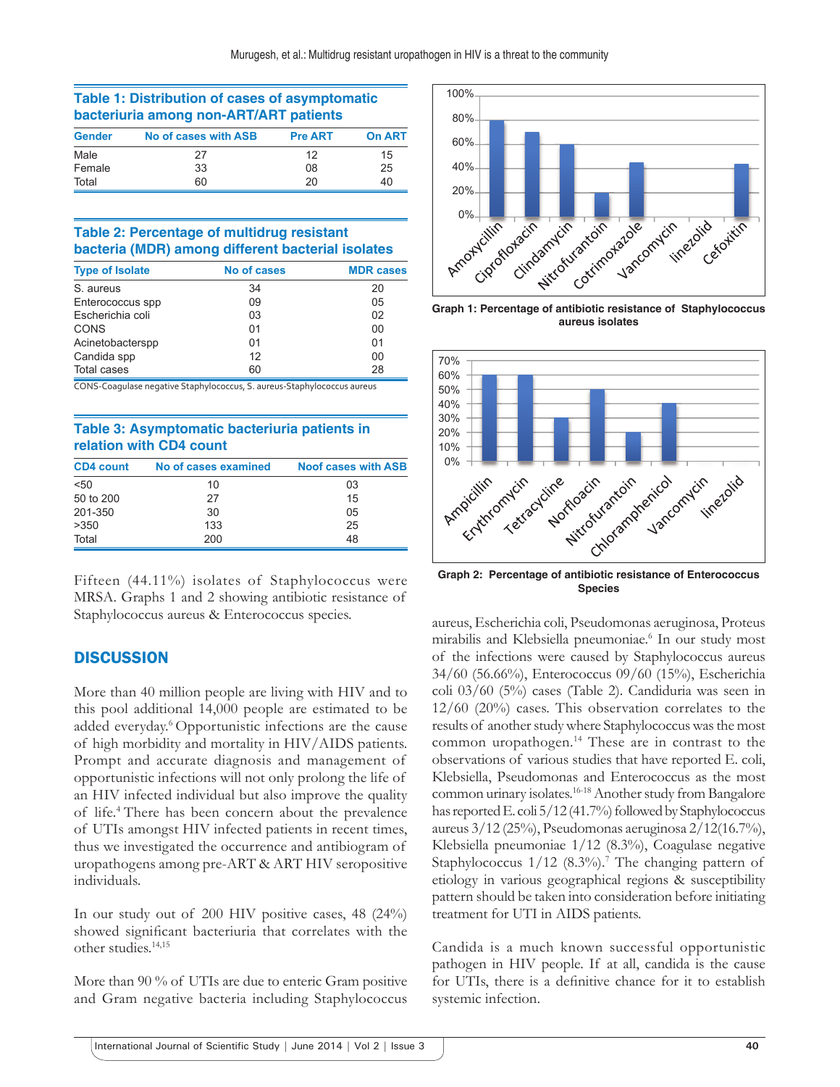#### **Table 1: Distribution of cases of asymptomatic bacteriuria among non‑ART/ART patients**

| <b>Gender</b> | No of cases with ASB | <b>Pre ART</b> | <b>On ART</b> |
|---------------|----------------------|----------------|---------------|
| Male          | 27                   | 12             | 15            |
| Female        | 33                   | 08             | 25            |
| Total         | 60                   | 20             | 40            |

#### **Table 2: Percentage of multidrug resistant bacteria (MDR) among different bacterial isolates**

| <b>Type of Isolate</b> | No of cases | <b>MDR</b> cases |  |
|------------------------|-------------|------------------|--|
| S. aureus              | 34          | 20               |  |
| Enterococcus spp       | 09          | 05               |  |
| Escherichia coli       | 03          | 02               |  |
| CONS                   | 01          | 00               |  |
| Acinetobacterspp       | 01          | 01               |  |
| Candida spp            | 12          | 00               |  |
| <b>Total cases</b>     | 60          | 28               |  |

CONS‑Coagulase negative Staphylococcus, S. aureus‑Staphylococcus aureus

#### **Table 3: Asymptomatic bacteriuria patients in relation with CD4 count**

| <b>CD4 count</b> | No of cases examined | <b>Noof cases with ASB</b> |
|------------------|----------------------|----------------------------|
| < 50             | 10                   | 03                         |
| 50 to 200        | 27                   | 15                         |
| 201-350          | 30                   | 05                         |
| >350             | 133                  | 25                         |
| Total            | 200                  | 48                         |

Fifteen (44.11%) isolates of Staphylococcus were MRSA. Graphs 1 and 2 showing antibiotic resistance of Staphylococcus aureus & Enterococcus species.

### **DISCUSSION**

More than 40 million people are living with HIV and to this pool additional 14,000 people are estimated to be added everyday.<sup>6</sup> Opportunistic infections are the cause of high morbidity and mortality in HIV/AIDS patients. Prompt and accurate diagnosis and management of opportunistic infections will not only prolong the life of an HIV infected individual but also improve the quality of life.4 There has been concern about the prevalence of UTIs amongst HIV infected patients in recent times, thus we investigated the occurrence and antibiogram of uropathogens among pre-ART & ART HIV seropositive individuals.

In our study out of 200 HIV positive cases, 48 (24%) showed significant bacteriuria that correlates with the other studies.14,15

More than 90 % of UTIs are due to enteric Gram positive and Gram negative bacteria including Staphylococcus



**Graph 1: Percentage of antibiotic resistance of Staphylococcus aureus isolates**



**Graph 2: Percentage of antibiotic resistance of Enterococcus Species**

aureus, Escherichia coli, Pseudomonas aeruginosa, Proteus mirabilis and Klebsiella pneumoniae.6 In our study most of the infections were caused by Staphylococcus aureus 34/60 (56.66%), Enterococcus 09/60 (15%), Escherichia coli 03/60 (5%) cases (Table 2). Candiduria was seen in 12/60 (20%) cases. This observation correlates to the results of another study where Staphylococcus was the most common uropathogen.14 These are in contrast to the observations of various studies that have reported E. coli, Klebsiella, Pseudomonas and Enterococcus as the most common urinary isolates.16-18 Another study from Bangalore has reported E. coli 5/12 (41.7%) followed by Staphylococcus aureus 3/12 (25%), Pseudomonas aeruginosa 2/12(16.7%), Klebsiella pneumoniae 1/12 (8.3%), Coagulase negative Staphylococcus 1/12 (8.3%).<sup>7</sup> The changing pattern of etiology in various geographical regions & susceptibility pattern should be taken into consideration before initiating treatment for UTI in AIDS patients.

Candida is a much known successful opportunistic pathogen in HIV people. If at all, candida is the cause for UTIs, there is a definitive chance for it to establish systemic infection.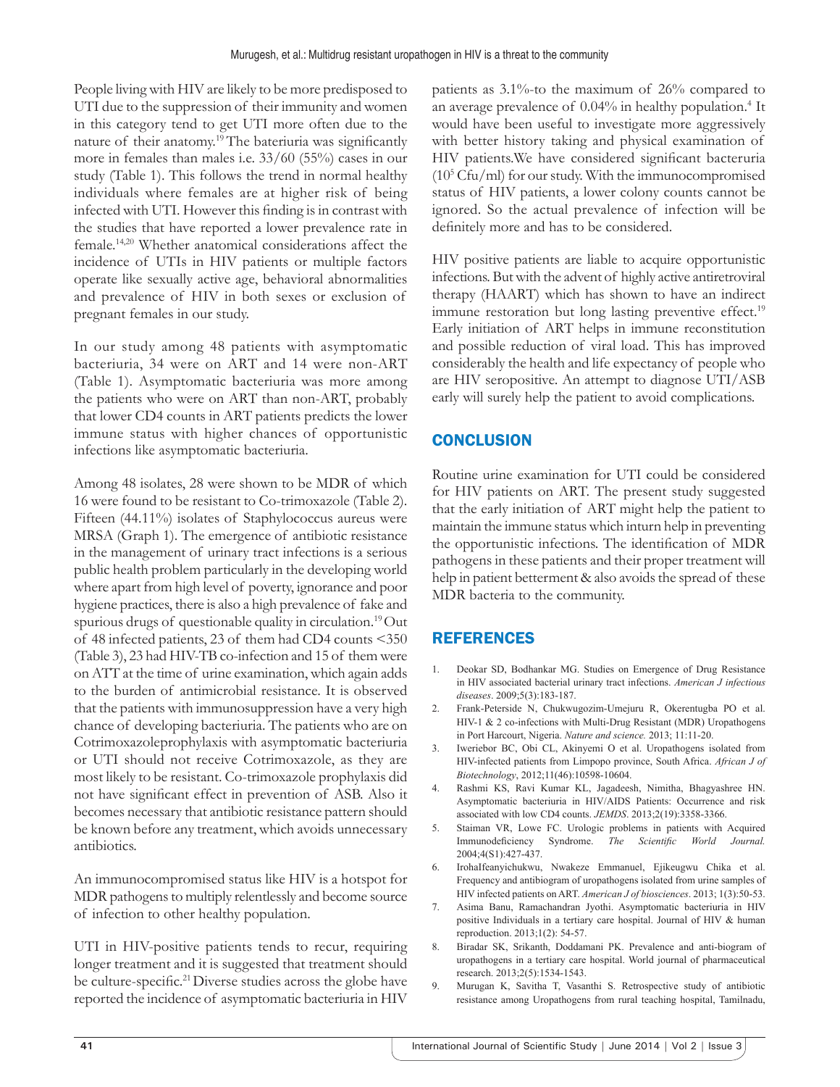People living with HIV are likely to be more predisposed to UTI due to the suppression of their immunity and women in this category tend to get UTI more often due to the nature of their anatomy.<sup>19</sup> The bateriuria was significantly more in females than males i.e. 33/60 (55%) cases in our study (Table 1). This follows the trend in normal healthy individuals where females are at higher risk of being infected with UTI. However this finding is in contrast with the studies that have reported a lower prevalence rate in female.14,20 Whether anatomical considerations affect the incidence of UTIs in HIV patients or multiple factors operate like sexually active age, behavioral abnormalities and prevalence of HIV in both sexes or exclusion of pregnant females in our study.

In our study among 48 patients with asymptomatic bacteriuria, 34 were on ART and 14 were non-ART (Table 1). Asymptomatic bacteriuria was more among the patients who were on ART than non-ART, probably that lower CD4 counts in ART patients predicts the lower immune status with higher chances of opportunistic infections like asymptomatic bacteriuria.

Among 48 isolates, 28 were shown to be MDR of which 16 were found to be resistant to Co-trimoxazole (Table 2). Fifteen (44.11%) isolates of Staphylococcus aureus were MRSA (Graph 1). The emergence of antibiotic resistance in the management of urinary tract infections is a serious public health problem particularly in the developing world where apart from high level of poverty, ignorance and poor hygiene practices, there is also a high prevalence of fake and spurious drugs of questionable quality in circulation.<sup>19</sup>Out of 48 infected patients, 23 of them had CD4 counts <350 (Table 3), 23 had HIV-TB co-infection and 15 of them were on ATT at the time of urine examination, which again adds to the burden of antimicrobial resistance. It is observed that the patients with immunosuppression have a very high chance of developing bacteriuria. The patients who are on Cotrimoxazoleprophylaxis with asymptomatic bacteriuria or UTI should not receive Cotrimoxazole, as they are most likely to be resistant. Co-trimoxazole prophylaxis did not have significant effect in prevention of ASB. Also it becomes necessary that antibiotic resistance pattern should be known before any treatment, which avoids unnecessary antibiotics.

An immunocompromised status like HIV is a hotspot for MDR pathogens to multiply relentlessly and become source of infection to other healthy population.

UTI in HIV-positive patients tends to recur, requiring longer treatment and it is suggested that treatment should be culture-specific.<sup>21</sup>Diverse studies across the globe have reported the incidence of asymptomatic bacteriuria in HIV patients as 3.1%-to the maximum of 26% compared to an average prevalence of 0.04% in healthy population.<sup>4</sup> It would have been useful to investigate more aggressively with better history taking and physical examination of HIV patients.We have considered significant bacteruria  $(10^5 \text{Cfu/ml})$  for our study. With the immunocompromised status of HIV patients, a lower colony counts cannot be ignored. So the actual prevalence of infection will be definitely more and has to be considered.

HIV positive patients are liable to acquire opportunistic infections. But with the advent of highly active antiretroviral therapy (HAART) which has shown to have an indirect immune restoration but long lasting preventive effect.<sup>19</sup> Early initiation of ART helps in immune reconstitution and possible reduction of viral load. This has improved considerably the health and life expectancy of people who are HIV seropositive. An attempt to diagnose UTI/ASB early will surely help the patient to avoid complications.

## **CONCLUSION**

Routine urine examination for UTI could be considered for HIV patients on ART. The present study suggested that the early initiation of ART might help the patient to maintain the immune status which inturn help in preventing the opportunistic infections. The identification of MDR pathogens in these patients and their proper treatment will help in patient betterment & also avoids the spread of these MDR bacteria to the community.

### REFERENCES

- 1. Deokar SD, Bodhankar MG. Studies on Emergence of Drug Resistance in HIV associated bacterial urinary tract infections. *American J infectious diseases*. 2009;5(3):183-187.
- 2. Frank-Peterside N, Chukwugozim-Umejuru R, Okerentugba PO et al. HIV-1 & 2 co-infections with Multi-Drug Resistant (MDR) Uropathogens in Port Harcourt, Nigeria. *Nature and science.* 2013; 11:11-20.
- 3. Iweriebor BC, Obi CL, Akinyemi O et al. Uropathogens isolated from HIV-infected patients from Limpopo province, South Africa. *African J of Biotechnology*, 2012;11(46):10598-10604.
- 4. Rashmi KS, Ravi Kumar KL, Jagadeesh, Nimitha, Bhagyashree HN. Asymptomatic bacteriuria in HIV/AIDS Patients: Occurrence and risk associated with low CD4 counts. *JEMDS*. 2013;2(19):3358-3366.
- 5. Staiman VR, Lowe FC. Urologic problems in patients with Acquired Immunodeficiency Syndrome. *The Scientific World Journal.*  2004;4(S1):427-437.
- 6. IrohaIfeanyichukwu, Nwakeze Emmanuel, Ejikeugwu Chika et al. Frequency and antibiogram of uropathogens isolated from urine samples of HIV infected patients on ART. *American J of biosciences*. 2013; 1(3):50-53.
- 7. Asima Banu, Ramachandran Jyothi. Asymptomatic bacteriuria in HIV positive Individuals in a tertiary care hospital. Journal of HIV & human reproduction. 2013;1(2): 54-57.
- 8. Biradar SK, Srikanth, Doddamani PK. Prevalence and anti-biogram of uropathogens in a tertiary care hospital. World journal of pharmaceutical research. 2013;2(5):1534-1543.
- 9. Murugan K, Savitha T, Vasanthi S. Retrospective study of antibiotic resistance among Uropathogens from rural teaching hospital, Tamilnadu,